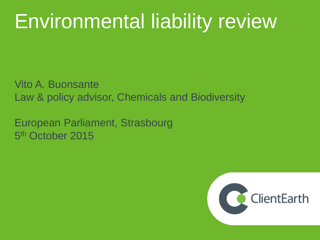# Environmental liability review

Vito A. Buonsante Law & policy advisor, Chemicals and Biodiversity

European Parliament, Strasbourg 5<sup>th</sup> October 2015

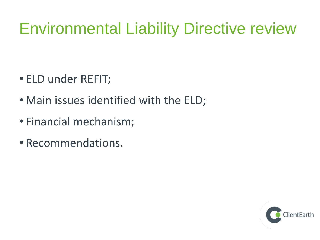# Environmental Liability Directive review

- ELD under REFIT;
- Main issues identified with the ELD;
- Financial mechanism;
- Recommendations.

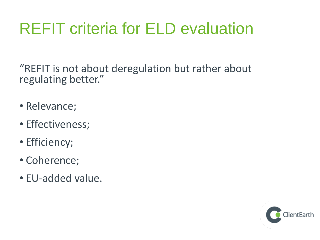# REFIT criteria for ELD evaluation

"REFIT is not about deregulation but rather about regulating better."

- Relevance;
- Effectiveness;
- Efficiency;
- Coherence;
- EU-added value.

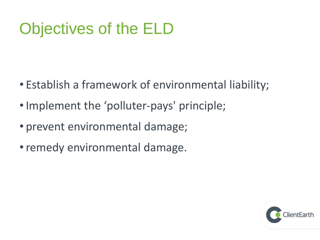# Objectives of the ELD

- Establish a framework of environmental liability;
- Implement the 'polluter-pays' principle;
- prevent environmental damage;
- remedy environmental damage.

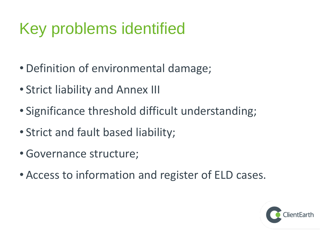# Key problems identified

- Definition of environmental damage;
- Strict liability and Annex III
- Significance threshold difficult understanding;
- Strict and fault based liability;
- •Governance structure;
- Access to information and register of ELD cases.

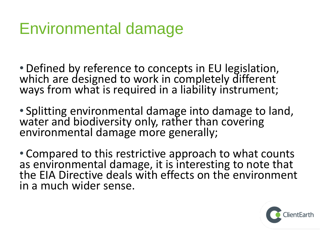## Environmental damage

• Defined by reference to concepts in EU legislation, which are designed to work in completely different ways from what is required in a liability instrument;

• Splitting environmental damage into damage to land, water and biodiversity only, rather than covering environmental damage more generally;

• Compared to this restrictive approach to what counts as environmental damage, it is interesting to note that the EIA Directive deals with effects on the environment in a much wider sense.

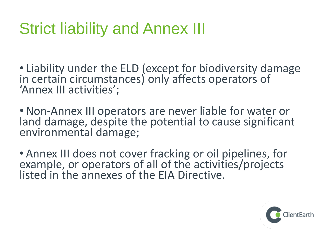## Strict liability and Annex III

• Liability under the ELD (except for biodiversity damage in certain circumstances) only affects operators of 'Annex III activities';

•Non-Annex III operators are never liable for water or land damage, despite the potential to cause significant environmental damage;

• Annex III does not cover fracking or oil pipelines, for example, or operators of all of the activities/projects listed in the annexes of the EIA Directive.

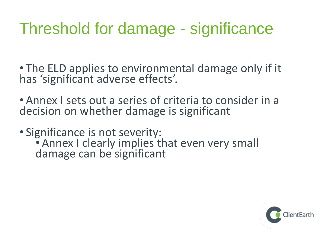#### Threshold for damage - significance

• The ELD applies to environmental damage only if it has 'significant adverse effects'.

- Annex I sets out a series of criteria to consider in a decision on whether damage is significant
- Significance is not severity: • Annex I clearly implies that even very small damage can be significant

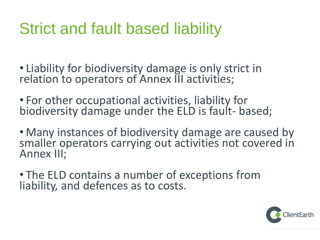# Strict and fault based liability

- Liability for biodiversity damage is only strict in relation to operators of Annex III activities;
- For other occupational activities, liability for biodiversity damage under the ELD is fault- based;
- Many instances of biodiversity damage are caused by smaller operators carrying out activities not covered in Annex III;
- The ELD contains a number of exceptions from liability, and defences as to costs.

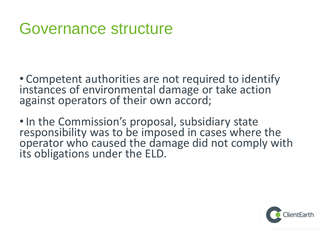#### Governance structure

• Competent authorities are not required to identify instances of environmental damage or take action against operators of their own accord;

•In the Commission's proposal, subsidiary state responsibility was to be imposed in cases where the operator who caused the damage did not comply with its obligations under the ELD.

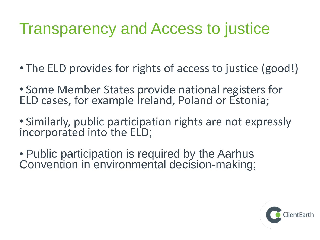## Transparency and Access to justice

- The ELD provides for rights of access to justice (good!)
- Some Member States provide national registers for ELD cases, for example Ireland, Poland or Estonia;
- Similarly, public participation rights are not expressly incorporated into the ELD;
- Public participation is required by the Aarhus Convention in environmental decision-making;

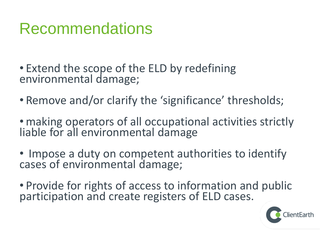#### Recommendations

- Extend the scope of the ELD by redefining environmental damage;
- Remove and/or clarify the 'significance' thresholds;
- making operators of all occupational activities strictly liable for all environmental damage
- Impose a duty on competent authorities to identify cases of environmental damage;
- Provide for rights of access to information and public participation and create registers of ELD cases.